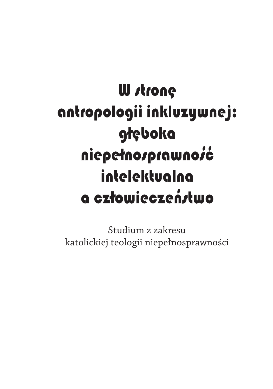# **W** strone antropologii inkluzywnej: głęboka niepełnosprawność intelektualna a człowieczeństwo

Studium z zakresu katolickiej teologii niepełnosprawności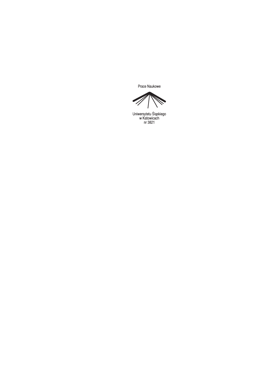Prace Naukowe

 $\overline{\mathscr{C}}$ 

Uniwersytetu Śląskiego<br>w Katowicach<br>nr 3821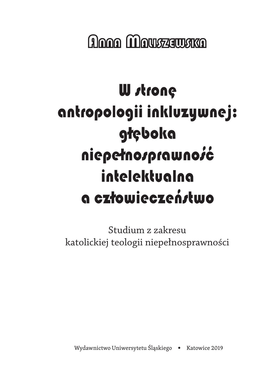**Anna Mouszawska** 

# **W** strone antropologii inkluzywnej: głęboka niepełnosprawność intelektualna a człowieczeństwo

Studium z zakresu katolickiej teologii niepełnosprawności

Wydawnictwo Uniwersytetu Śląskiego • Katowice 2019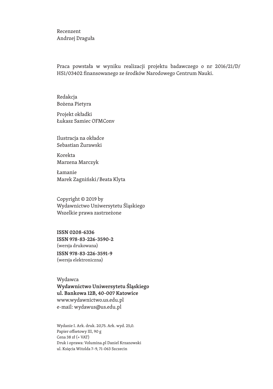Recenzent Andrzej Draguła

Praca powstała w wyniku realizacji projektu badawczego o nr 2016/21/D/ HS1/03402 finansowanego ze środków Narodowego Centrum Nauki.

Redakcja Bożena Pietyra

Projekt okładki Łukasz Samiec OFMConv

Ilustracja na okładce Sebastian Żurawski

Korekta Marzena Marczyk

Łamanie Marek Zagniński / Beata Klyta

Copyright © 2019 by Wydawnictwo Uniwersytetu Śląskiego Wszelkie prawa zastrzeżone

ISSN 0208-6336 ISSN 978-83-226-3590-2 (wersja drukowana) ISSN 978-83-226-3591-9 (wersja elektroniczna)

Wydawca Wydawnictwo Uniwersytetu Śląskiego ul. Bankowa 12B, 40 -007 Katowice www.wydawnictwo.us.edu.pl e‑mail: wydawus@us.edu.pl

Wydanie I. Ark. druk. 20,75. Ark. wyd. 25,0. Papier offsetowy III, 90 g Cena 38 zł (+ VAT) Druk i oprawa: Volumina.pl Daniel Krzanowski ul. Księcia Witolda 7–9, 71‑063 Szczecin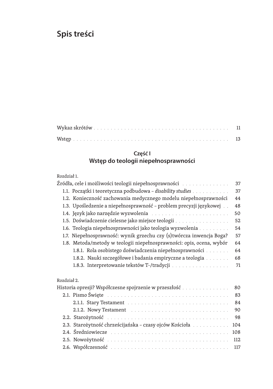# **Spis treści**

## **Część I Wstęp do teologii niepełnosprawności**

#### Rozdział 1.

|                                                                      | 37  |
|----------------------------------------------------------------------|-----|
| 1.1. Początki i teoretyczna podbudowa – disability studies           | 37  |
| 1.2. Konieczność zachowania medycznego modelu niepełnosprawności     | 44  |
| 1.3. Upośledzenie a niepełnosprawność - problem precyzji językowej   | 48  |
|                                                                      | 50  |
| 1.5. Doświadczenie cielesne jako miejsce teologii                    | 52  |
| 1.6. Teologia niepełnosprawności jako teologia wyzwolenia            | 54  |
| 1.7. Niepełnosprawność: wynik grzechu czy (s)twórcza inwencja Boga?  | 57  |
| 1.8. Metoda/metody w teologii niepełnosprawności: opis, ocena, wybór | 64  |
| 1.8.1. Rola osobistego doświadczenia niepełnosprawności              | 64  |
| 1.8.2. Nauki szczegółowe i badania empiryczne a teologia             | 68  |
|                                                                      | 71  |
| Rozdział 2.                                                          |     |
| Historia opresji? Współczesne spojrzenie w przeszłość                | 80  |
|                                                                      | 83  |
|                                                                      | 84  |
|                                                                      | 90  |
|                                                                      | 98  |
| 2.3. Starożytność chrześcijańska - czasy ojców Kościoła              | 104 |
|                                                                      | 108 |
|                                                                      | 112 |

2.6. Współczesność 117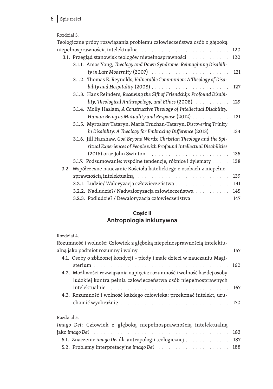# 6 Spis treści

#### Rozdział 3.

| Teologiczne próby rozwiązania problemu człowieczeństwa osób z głęboką                                          |     |
|----------------------------------------------------------------------------------------------------------------|-----|
| niepełnosprawnością intelektualną do miesta do miesta internet ale stategie stategie stategie stategie stategi | 120 |
| 3.1. Przegląd stanowisk teologów niepełnosprawności                                                            | 120 |
| 3.1.1. Amos Yong, Theology and Down Syndrome: Reimagining Disabili-                                            |     |
|                                                                                                                | 121 |
| 3.1.2. Thomas E. Reynolds, Vulnerable Communion: A Theology of Disa-                                           |     |
|                                                                                                                | 127 |
| 3.1.3. Hans Reinders, Receiving the Gift of Friendship: Profound Disabi-                                       |     |
| lity, Theological Anthropology, and Ethics (2008)                                                              | 129 |
| 3.1.4. Molly Haslam, A Constructive Theology of Intellectual Disability.                                       |     |
| Human Being as Mutuality and Response (2012)                                                                   | 131 |
| 3.1.5. Myroslaw Tataryn, Maria Truchan-Tataryn, Discovering Trinity                                            |     |
| in Disability: A Theology for Embracing Difference $(2013)$ .                                                  | 134 |
| 3.1.6. Jill Harshaw, God Beyond Words: Christian Theology and the Spi-                                         |     |
| ritual Experiences of People with Profound Intellectual Disabilities                                           |     |
|                                                                                                                | 135 |
| 3.1.7. Podsumowanie: wspólne tendencje, różnice i dylematy                                                     | 138 |
| 3.2. Współczesne nauczanie Kościoła katolickiego o osobach z niepełno-                                         |     |
| sprawnością intelektualną enterializmu anteriorum anteriorum anteriorum anteriorum anteriorum anteriorum anter | 139 |
| 3.2.1. Ludzie/ Waloryzacja człowieczeństwa                                                                     | 141 |
| 3.2.2. Nadludzie?/ Nadwaloryzacja człowieczeństwa                                                              | 145 |
| 3.2.3. Podludzie? / Dewaloryzacja człowieczeństwa                                                              | 147 |
|                                                                                                                |     |

#### **Część II Antropologia inkluzywna**

#### Rozdział 4.

| Rozumność i wolność: Człowiek z głęboką niepełnosprawnością intelektu-                                         |     |
|----------------------------------------------------------------------------------------------------------------|-----|
| alną jako podmiot rozumny i wolny matematica and state and state in the state of 157                           |     |
| 4.1. Osoby o zbliżonej kondycji - płody i małe dzieci w nauczaniu Magi-                                        |     |
|                                                                                                                |     |
| 4.2. Możliwości rozwiązania napięcia: rozumność i wolność każdej osoby                                         |     |
| ludzkiej kontra pełnia człowieczeństwa osób niepełnosprawnych                                                  |     |
|                                                                                                                |     |
| 4.3. Rozumność i wolność każdego człowieka: przekonać intelekt, uru-                                           |     |
| chomić wyobraźnię en markowych w markowych występujący w markowych w markowych w markowych w markowych w marko | 170 |
|                                                                                                                |     |
| Rozdział 5.                                                                                                    |     |
| Imago Dei: Człowiek z głęboką niepełnosprawnością intelektualną                                                |     |
|                                                                                                                |     |
|                                                                                                                |     |

| jako imago Dei <i>kartaaria karte kaisten karte karte karte suurik</i> istoria 183 |  |
|------------------------------------------------------------------------------------|--|
| 5.1. Znaczenie imago Dei dla antropologii teologicznej 187                         |  |
|                                                                                    |  |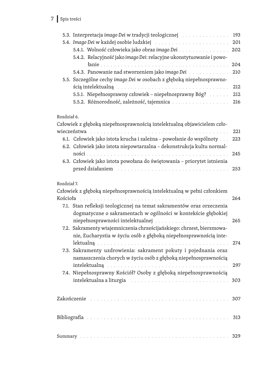## 7 Spis treści

|             | 5.3. Interpretacja imago Dei w tradycji teologicznej prostawa w statem star                                    | 193 |
|-------------|----------------------------------------------------------------------------------------------------------------|-----|
|             |                                                                                                                | 201 |
|             | 5.4.1. Wolność człowieka jako obraz imago Dei                                                                  | 202 |
|             | 5.4.2. Relacyjność jako imago Dei: relacyjne ukonstytuowanie i powo-                                           |     |
|             |                                                                                                                | 204 |
|             | 5.4.3. Panowanie nad stworzeniem jako imago Dei                                                                | 210 |
|             | 5.5. Szczególne cechy imago Dei w osobach z głęboką niepełnosprawno-                                           |     |
|             | ścią intelektualną en antarazza antarazza antarazza antarazza antarazza antarazza antarazza antarazza antarazz | 212 |
|             | 5.5.1. Niepełnosprawny człowiek - niepełnosprawny Bóg?                                                         | 212 |
|             |                                                                                                                | 216 |
|             |                                                                                                                |     |
| Rozdział 6. |                                                                                                                |     |
|             | Człowiek z głęboką niepełnosprawnością intelektualną objawicielem czło-                                        |     |
| wieczeństwa |                                                                                                                | 221 |
|             | 6.1. Człowiek jako istota krucha i zależna - powołanie do wspólnoty                                            | 223 |
|             | 6.2. Człowiek jako istota niepowtarzalna - dekonstrukcja kultu normal-                                         |     |
|             |                                                                                                                | 245 |
|             | 6.3. Człowiek jako istota powołana do świętowania - priorytet istnienia                                        |     |
|             |                                                                                                                | 253 |
|             |                                                                                                                |     |
| Rozdział 7. |                                                                                                                |     |
|             | Człowiek z głęboką niepełnosprawnością intelektualną w pełni członkiem                                         |     |
|             |                                                                                                                | 264 |
|             | 7.1. Stan refleksji teologicznej na temat sakramentów oraz orzeczenia                                          |     |
|             | dogmatyczne o sakramentach w ogólności w kontekście głębokiej                                                  |     |
|             |                                                                                                                | 265 |
|             | 7.2. Sakramenty wtajemniczenia chrześcijańskiego: chrzest, bierzmowa-                                          |     |
|             | nie, Eucharystia w życiu osób z głęboką niepełnosprawnością inte-                                              |     |
|             |                                                                                                                | 274 |
|             | 7.3. Sakramenty uzdrowienia: sakrament pokuty i pojednania oraz                                                |     |
|             | namaszczenia chorych w życiu osób z głęboką niepełnosprawnością                                                |     |

| intelektualna a liturgia eta alegarra arte eta alegarra eta alegarra arte alegarra arte alegarra arte alegarra |  |
|----------------------------------------------------------------------------------------------------------------|--|
|                                                                                                                |  |
|                                                                                                                |  |
|                                                                                                                |  |

7.4. Niepełnosprawny Kościół? Osoby z głęboką niepełnosprawnością

intelektualną 297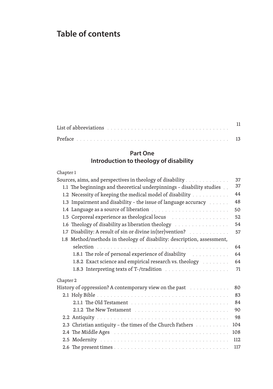# **Table of contents**

| List of abbreviations enterpreterment of the contract of the state of the contract of the contract of the contr |  |  |  |  |  |  |  |  |  |
|-----------------------------------------------------------------------------------------------------------------|--|--|--|--|--|--|--|--|--|
|                                                                                                                 |  |  |  |  |  |  |  |  |  |

## **Part One Introduction to theology of disability**

#### Chapter 1

| Sources, aims, and perspectives in theology of disability                                                            | 37  |
|----------------------------------------------------------------------------------------------------------------------|-----|
| 1.1 The beginnings and theoretical underpinnings - disability studies                                                | 37  |
| 1.2 Necessity of keeping the medical model of disability                                                             | 44  |
| 1.3 Impairment and disability - the issue of language accuracy                                                       | 48  |
|                                                                                                                      | 50  |
| 1.5 Corporeal experience as theological locus                                                                        | 52  |
| 1.6 Theology of disability as liberation theology                                                                    | 54  |
| 1.7 Disability: A result of sin or divine in(ter)vention?                                                            | 57  |
| 1.8 Method/methods in theology of disability: description, assessment,                                               |     |
|                                                                                                                      | 64  |
| 1.8.1 The role of personal experience of disability                                                                  | 64  |
| 1.8.2 Exact science and empirical research vs. theology                                                              | 64  |
|                                                                                                                      | 71  |
| Chapter 2                                                                                                            |     |
| History of oppression? A contemporary view on the past and successive of oppression? A contemporary view on the past | 80  |
|                                                                                                                      | 83  |
|                                                                                                                      | 84  |
|                                                                                                                      | 90  |
|                                                                                                                      | 98  |
| 2.3 Christian antiquity - the times of the Church Fathers                                                            | 104 |
|                                                                                                                      | 108 |
|                                                                                                                      | 112 |
|                                                                                                                      | 117 |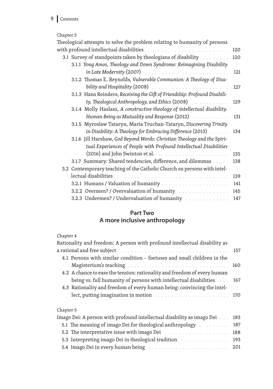# 9 Contents

#### Chapter 3

| Theological attempts to solve the problem relating to humanity of persons    |     |
|------------------------------------------------------------------------------|-----|
|                                                                              | 120 |
| 3.1 Survey of standpoints taken by theologians of disability                 | 120 |
| 3.1.1 Yong Amos, Theology and Down Syndrome: Reimagining Disability          |     |
|                                                                              | 121 |
| 3.1.2 Thomas E. Reynolds, Vulnerable Communion: A Theology of Disa-          |     |
|                                                                              | 127 |
| 3.1.3 Hans Reinders, Receiving the Gift of Friendship: Profound Disabili-    |     |
| ty, Theological Anthropology, and Ethics (2008)                              | 129 |
| 3.1.4 Molly Haslam, A constructive theology of intellectual disability.      |     |
| Human Being as Mutuality and Response (2012)                                 | 131 |
| 3.1.5 Myroslaw Tataryn, Maria Truchan-Tataryn, Discovering Trinity           |     |
| in Disability: A Theology for Embracing Difference (2013)                    | 134 |
| 3.1.6 Jill Harshaw, God Beyond Words: Christian Theology and the Spiri-      |     |
| tual Experiences of People with Profound Intellectual Disabilities           |     |
| $(2016)$ and John Swinton et al. $\ldots \ldots \ldots \ldots \ldots \ldots$ | 135 |
| 3.1.7 Summary: Shared tendencies, difference, and dilemmas                   | 138 |
| 3.2 Contemporary teaching of the Catholic Church on persons with intel-      |     |
|                                                                              | 139 |
|                                                                              | 141 |
| 3.2.2 Overmen? / Overvaluation of humanity                                   | 145 |
| 3.2.3 Undermen? / Undervaluation of humanity                                 | 147 |
|                                                                              |     |

## **Part Two A more inclusive anthropology**

## Chapter 4

| Rationality and freedom: A person with profound intellectual disability as |  |
|----------------------------------------------------------------------------|--|
|                                                                            |  |
| 4.1 Persons with similar condition – foetuses and small children in the    |  |
|                                                                            |  |
| 4.2 A chance to ease the tension: rationality and freedom of every human   |  |
| being vs. full humanity of persons with intellectual disabilities 167      |  |
| 4.3 Rationality and freedom of every human being: convincing the intel-    |  |
|                                                                            |  |
|                                                                            |  |

#### Chapter 5

| Imago Dei: A person with profound intellectual disability as imago Dei 183  |  |
|-----------------------------------------------------------------------------|--|
| 5.1 The meaning of imago Dei for theological anthropology 187               |  |
|                                                                             |  |
| 5.3 Interpreting imago Dei in theological tradition [1, 1, 1, 1, 1, 1, 193] |  |
|                                                                             |  |
|                                                                             |  |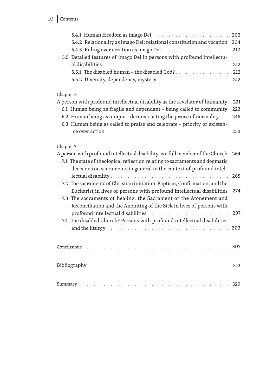| 5.4.2 Relationality as imago Dei: relational constitution and vocation 204                                                                                                                                                     |  |
|--------------------------------------------------------------------------------------------------------------------------------------------------------------------------------------------------------------------------------|--|
| 5.4.3 Ruling over creation as imago Dei 210                                                                                                                                                                                    |  |
| 5.5 Detailed features of imago Dei in persons with profound intellectu-                                                                                                                                                        |  |
| al disabilities and the contract of the contract of the contract of the contract of the contract of the contract of the contract of the contract of the contract of the contract of the contract of the contract of the contra |  |
|                                                                                                                                                                                                                                |  |
|                                                                                                                                                                                                                                |  |
|                                                                                                                                                                                                                                |  |

#### Chapter 6

| A person with profound intellectual disability as the revelator of humanity 221 |  |
|---------------------------------------------------------------------------------|--|
| 6.1 Human being as fragile and dependant - being called to community 223        |  |
| 6.2 Human being as unique - deconstructing the praise of normality $\ldots$ 245 |  |
| 6.3 Human being as called to praise and celebrate - priority of existen-        |  |
|                                                                                 |  |
|                                                                                 |  |

#### Chapter 7

| A person with profound intellectual disability as a full member of the Church 264 |     |
|-----------------------------------------------------------------------------------|-----|
| 7.1 The state of theological reflection relating to sacraments and dogmatic       |     |
| decisions on sacraments in general in the context of profound intel-              |     |
|                                                                                   |     |
| 7.2 The sacraments of Christian initiation: Baptism, Confirmation, and the        |     |
| Eucharist in lives of persons with profound intellectual disabilities             | 274 |
| 7.3 The sacraments of healing: the Sacrament of the Atonement and                 |     |
| Reconciliation and the Anointing of the Sick in lives of persons with             |     |
|                                                                                   |     |
| 7.4 The disabled Church? Persons with profound intellectual disabilities          |     |
|                                                                                   |     |
|                                                                                   |     |
|                                                                                   |     |
|                                                                                   |     |
|                                                                                   |     |
|                                                                                   |     |
|                                                                                   |     |
|                                                                                   |     |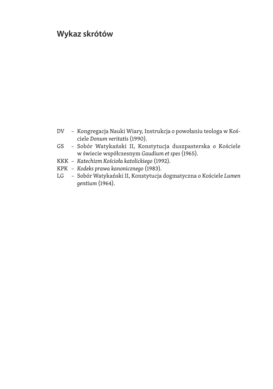# **Wykaz skrótów**

- DV Kongregacja Nauki Wiary, Instrukcja o powołaniu teologa w Koś‑ ciele *Donum veritatis* (1990).
- GS Sobór Watykański II, Konstytucja duszpasterska o Kościele w świecie współczesnym *Gaudium et spes* (1965).
- KKK *Katechizm Kościoła katolickiego* (1992).
- KPK *Kodeks prawa kanonicznego* (1983).
- $LG$ Sobór Watykański II, Konstytucja dogmatyczna o Kościele *Lumen gentium* (1964).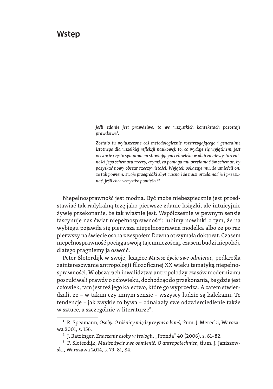# **Wstęp**

*Jeśli zdanie jest prawdziwe, to we wszystkich kontekstach pozostaje prawdziwe*1.

*Zostało tu wyłuszczone coś metodologicznie rozstrzygającego i generalnie istotnego dla wszelkiej refleksji naukowej; to, co wydaje się wyjątkiem, jest w istocie często symptomem stawiającym człowieka w obliczu niewystarczalności jego schematu rzeczy, czymś, co pomaga mu przełamać ów schemat, by pozyskać nowy obszar rzeczywistości. Wyjątek pokazuje mu, że umieścił on, że tak powiem, swoje przegródki zbyt ciasno i że musi przełamać je i przesunąć, jeśli chce wszystko pomieścić*2.

Niepełnosprawność jest modna. Być może niebezpiecznie jest przed‑ stawiać tak radykalną tezę jako pierwsze zdanie książki, ale intuicyjnie żywię przekonanie, że tak właśnie jest. Współcześnie w pewnym sensie fascynuje nas świat niepełnosprawności: lubimy nowinki o tym, że na wybiegu pojawiła się pierwsza niepełnosprawna modelka albo że po raz pierwszy na świecie osoba z zespołem Downa otrzymała doktorat. Czasem niepełnosprawność pociąga swoją tajemniczością, czasem budzi niepokój, dlatego pragniemy ją oswoić.

Peter Sloterdijk w swojej książce *Musisz życie swe odmienić*, podkreśla zainteresowanie antropologii filozoficznej XX wieku tematyką niepełnosprawności. W obszarach inwalidztwa antropolodzy czasów modernizmu poszukiwali prawdy o człowieku, dochodząc do przekonania, że gdzie jest człowiek, tam jest też jego kalectwo, które go wyprzedza. A zatem stwierdzali, że – w takim czy innym sensie – wszyscy ludzie są kalekami. Te tendencje – jak zwykle to bywa – odnalazły swe odzwierciedlenie także w sztuce, a szczególnie w literaturze<sup>3</sup>.

<sup>&</sup>lt;sup>1</sup> R. Speamann, Osoby. O różnicy między czymś a kimś, tłum. J. Merecki, Warszawa 2001, s. 156.

<sup>&</sup>lt;sup>2</sup> J. Ratzinger, *Znaczenie osoby w teologii*, "Fronda" 40 (2006), s. 81–82.

<sup>&</sup>lt;sup>3</sup> P. Sloterdijk, Musisz życie swe odmienić. O antropotechnice, tłum. J. Janiszewski, Warszawa 2014, s. 79–81, 84.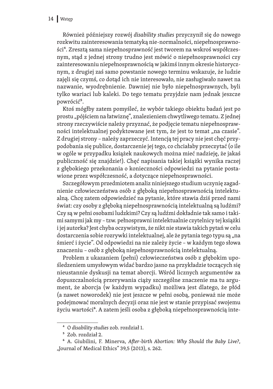Również późniejszy rozwój *disability studies* przyczynił się do nowego rozkwitu zainteresowania tematyką nie-normalności, niepełnosprawno‑ ści<sup>4</sup>. Zresztą sama niepełnosprawność jest tworem na wskroś współczesnym, stąd z jednej strony trudno jest mówić o niepełnosprawności czy zainteresowaniu niepełnosprawnością w jakimś innym okresie historycznym, z drugiej zaś samo powstanie nowego terminu wskazuje, że ludzie zajęli się czymś, co dotąd ich nie interesowało, nie zasługiwało nawet na nazwanie, wyodrębnienie. Dawniej nie było niepełnosprawnych, byli tylko wariaci lub kaleki. Do tego tematu przyjdzie nam jednak jeszcze powrócić<sup>5</sup>.

Ktoś mógłby zatem pomyśleć, że wybór takiego obiektu badań jest po prostu "pójściem na łatwiznę", znalezieniem chwytliwego tematu. Z jednej strony rzeczywiście należy przyznać, że podjęcie tematu niepełnospraw‑ ności intelektualnej podyktowane jest tym, że jest to temat "na czasie". Z drugiej strony - należy zaprzeczyć. Intencją tej pracy nie jest chęć przypodobania się publice, dostarczenie jej tego, co chciałaby przeczytać (o ile w ogóle w przypadku książek naukowych można mieć nadzieję, że jakaś publiczność się znajdzie!). Chęć napisania takiej książki wynika raczej z głębokiego przekonania o konieczności odpowiedzi na pytanie postawione przez współczesność, a dotyczące niepełnosprawności.

Szczegółowym przedmiotem analiz niniejszego studium uczynię zagad‑ nienie człowieczeństwa osób z głęboką niepełnosprawnością intelektualną. Chcę zatem odpowiedzieć na pytanie, które stawia dziś przed nami świat: czy osoby z głęboką niepełnosprawnością intelektualną są ludźmi? Czy są w pełni osobami ludzkimi? Czy są ludźmi dokładnie tak samo i taki‑ mi samymi jak my – tzw. pełnosprawni intelektualnie czytelnicy tej książki i jej autorka? Jest chyba oczywistym, że nikt nie stawia takich pytań w celu dostarczenia sobie rozrywki intelektualnej, ale że pytania tego typu są "na śmierć i życie". Od odpowiedzi na nie zależy życie – w każdym tego słowa znaczeniu – osób z głęboką niepełnosprawnością intelektualną.

Problem z ukazaniem (pełni) człowieczeństwa osób z głębokim upośledzeniem umysłowym widać bardzo jasno na przykładzie toczących się nieustannie dyskusji na temat aborcji. Wśród licznych argumentów za dopuszczalnością przerywania ciąży szczególne znaczenie ma tu argument, że aborcja (w każdym wypadku) możliwa jest dlatego, że płód (a nawet noworodek) nie jest jeszcze w pełni osobą, ponieważ nie może podejmować moralnych decyzji oraz nie jest w stanie przypisać swojemu życiu wartości<sup>6</sup>. A zatem jeśli osoba z głęboką niepełnosprawnością inte-

<sup>4</sup> O *disability studies* zob. rozdział 1.

<sup>5</sup> Zob. rozdział 2.

<sup>6</sup> A. Giubilini, F. Minerva, *After-birth Abortion: Why Should the Baby Live?*, "Journal of Medical Ethics" 39,5 (2013), s. 262.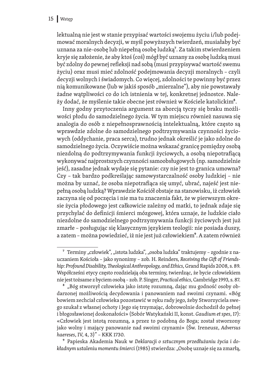lektualną nie jest w stanie przypisać wartości swojemu życiu i/lub podejmować moralnych decyzji, w myśl powyższych twierdzeń, musiałaby być uznana za nie-osobę lub niepełną osobę ludzką<sup>7</sup>. Za takim stwierdzeniem kryje się założenie, że aby ktoś (coś) mógł być uznany za osobę ludzką musi być zdolny do pewnej refleksji nad sobą (musi przypisywać wartość swemu życiu) oraz musi mieć zdolność podejmowania decyzji moralnych – czyli decyzji wolnych i świadomych. Co więcej, zdolności te powinny być przez nią komunikowane (lub w jakiś sposób "mierzalne"), aby nie powstawały żadne wątpliwości co do ich istnienia w tej, konkretnej jednostce. Należy dodać, że myślenie takie obecne jest również w Kościele katolickim<sup>8</sup>.

Inny godny przytoczenia argument za aborcją tyczy się braku możliwości płodu do samodzielnego życia. W tym miejscu również nasuwa się analogia do osób z niepełnosprawnością intelektualną, które często są wprawdzie zdolne do samodzielnego podtrzymywania czynności życiowych (oddychanie, praca serca), trudno jednak określić je jako zdolne do samodzielnego życia. Oczywiście można wskazać granicę pomiędzy osobą niezdolną do podtrzymywania funkcji życiowych, a osobą niepotrafiącą wykonywać najprostszych czynności samoobsługowych (np. samodzielnie jeść), zasadne jednak wydaje się pytanie: czy nie jest to granica umowna? Czy – tak bardzo podkreślając samowystarczalność osoby ludzkiej – nie można by uznać, że osoba niepotrafiąca się umyć, ubrać, najeść jest nie‑ pełną osobą ludzką? Wprawdzie Kościół obstaje na stanowisku, iż człowiek zaczyna się od poczęcia i nie ma tu znaczenia fakt, że w pierwszym okresie życia płodowego jest całkowicie zależny od matki, to jednak zdaje się przychylać do definicji śmierci mózgowej, która uznaje, że ludzkie ciało niezdolne do samodzielnego podtrzymywania funkcji życiowych jest już zmarłe – posługując się klasycznym językiem teologii: nie posiada duszy, a zatem – można powiedzieć, iż nie jest już człowiekiem9. A zatem również

<sup>&</sup>lt;sup>7</sup> Terminy "człowiek", "istota ludzka", "osoba ludzka" traktujemy – zgodnie z nauczaniem Kościoła – jako synonimy – zob. H. Reinders, *Receiving the Gift of Friendship: Profound Disability, Theological Anthropology, and Ethics*, Grand Rapids 2008, s. 89. Współcześni etycy często rozdzielają oba terminy, twierdząc, że bycie człowiekiem nie jest tożsame z byciem osobą – zob. P. Singer, *Practical ethics*, Cambridge 1993, s. 87.

<sup>&</sup>lt;sup>8</sup> "Bóg stworzył człowieka jako istotę rozumną, dając mu godność osoby obdarzonej możliwością decydowania i panowaniem nad swoimi czynami. «Bóg bowiem zechciał człowieka pozostawić w ręku rady jego, żeby Stworzyciela swe‑ go szukał z własnej ochoty i Jego się trzymając, dobrowolnie dochodził do pełnej i błogosławionej doskonałości» (Sobór Watykański II, konst. *Gaudium et spes*, 17): «Człowiek jest istotą rozumną, a przez to podobną do Boga; został stworzony jako wolny i mający panowanie nad swoimi czynami» (Św. Ireneusz, *Adversus haereses*, IV, 4, 3)" – KKK 1730.

<sup>9</sup> Papieska Akademia Nauk w *Deklaracji o sztucznym przedłużaniu życia i dokładnym ustaleniu momentu śmierci* (1985) stwierdza: "Osobę uznaje się za zmarłą,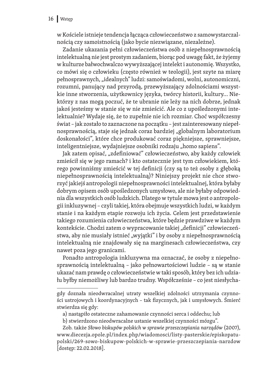w Kościele istnieje tendencja łącząca człowieczeństwo z samowystarczalnością czy samoistnością (jako bycie niezwiązane, niezależne).

Zadanie ukazania pełni człowieczeństwa osób z niepełnosprawnością intelektualną nie jest prostym zadaniem, biorąc pod uwagę fakt, że żyjemy w kulturze bałwochwalczo wywyższającej intelekt i autonomię. Wszystko, co mówi się o człowieku (często również w teologii), jest szyte na miarę pełnosprawnych, "idealnych" ludzi: samoświadomi, wolni, autonomiczni, rozumni, panujący nad przyrodą, przewyższający zdolnościami wszystkie inne stworzenia, użytkownicy języka, twórcy historii, kultury... Niektórzy z nas mogą poczuć, że te ubranie nie leży na nich dobrze, jednak jakoś jesteśmy w stanie się w nie zmieścić. Ale co z upośledzonymi intelektualnie? Wydaje się, że to zupełnie nie ich rozmiar. Choć współczesny świat - jak zostało to zaznaczone na początku - jest zainteresowany niepełnosprawnością, staje się jednak coraz bardziej "globalnym laboratorium doskonałości", które chce produkować coraz piękniejsze, sprawniejsze, inteligentniejsze, wydajniejsze osobniki rodzaju "homo sapiens".

Jak zatem opisać, "zdefiniować" człowieczeństwo, aby każdy człowiek zmieścił się w jego ramach? i kto ostatecznie jest tym człowiekiem, którego powinniśmy zmieścić w tej definicji (czy są to też osoby z głęboką niepełnosprawnością intelektualną)? Niniejszy projekt nie chce stworzyć jakiejś antropologii niepełnosprawności intelektualnej, która byłaby dobrym opisem osób upośledzonych umysłowo, ale nie byłaby odpowiednia dla wszystkich osób ludzkich. Dlatego w tytule mowa jest o antropologii inkluzywnej – czyli takiej, która obejmuje wszystkich ludzi, w każdym stanie i na każdym etapie rozwoju ich życia. Celem jest przedstawienie takiego rozumienia człowieczeństwa, które będzie prawdziwe w każdym kontekście. Chodzi zatem o wypracowanie takiej "definicji" człowieczeństwa, aby nie musiały istnieć "wyjątki" i by osoby z niepełnosprawnością intelektualną nie znajdowały się na marginesach człowieczeństwa, czy nawet poza jego granicami.

Ponadto antropologia inkluzywna ma oznaczać, że osoby z niepełnosprawnością intelektualną – jako pełnowartościowi ludzie – są w stanie ukazać nam prawdę o człowieczeństwie w taki sposób, który bez ich udziału byłby niemożliwy lub bardzo trudny. Współcześnie - co jest niesłycha-

gdy doznała nieodwracalnej utraty wszelkiej zdolności utrzymania czynności ustrojowych i koordynacyjnych – tak fizycznych, jak i umysłowych. Śmierć stwierdza się gdy:

a) nastąpiło ostateczne zahamowanie czynności serca i oddechu; lub

b) stwierdzono nieodwracalne ustanie wszelkiej czynności mózgu".

Zob. także *Słowo biskupów polskich w sprawie przeszczepiania narządów* (2007), www.diecezja.opole.pl/index.php/wiadomosci/listy-pasterskie/episkopatupolski/269-sowo-biskupow-polskich-w-sprawie-przeszczepiania-narzdow [dostęp: 22.02.2018].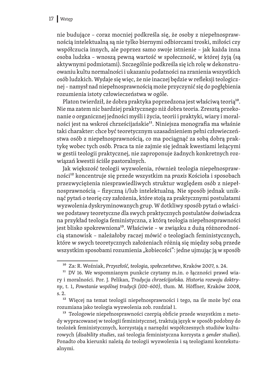#### 17 Wstęp

nie budujące – coraz mocniej podkreśla się, że osoby z niepełnospraw‑ nością intelektualną są nie tylko biernymi odbiorcami troski, miłości czy współczucia innych, ale poprzez samo swoje istnienie – jak każda inna osoba ludzka – wnoszą pewną wartość w społeczność, w której żyją (są aktywnymi podmiotami). Szczególnie podkreśla się ich rolę w dekonstruowaniu kultu normalności i ukazaniu podatności na zranienia wszystkich osób ludzkich. Wydaje się więc, że nie inaczej będzie w refleksji teologicz‑ nej – namysł nad niepełnosprawnością może przyczynić się do pogłębienia rozumienia istoty człowieczeństwa w ogóle.

Platon twierdził, że dobra praktyka poprzedzona jest właściwą teorią<sup>10</sup>. Nie ma zatem nic bardziej praktycznego niż dobra teoria. Zresztą przeko‑ nanie o organicznej jedności myśli i życia, teorii i praktyki, wiary i moral‑ ności jest na wskroś chrześcijańskie<sup>11</sup>. Niniejsza monografia ma właśnie taki charakter: chce być teoretycznym uzasadnieniem pełni człowieczeństwa osób z niepełnosprawnością, co ma pociągnąć za sobą dobrą prak‑ tykę wobec tych osób. Praca ta nie zajmie się jednak kwestiami leżącymi w gestii teologii praktycznej, nie zaproponuje żadnych konkretnych rozwiązań kwestii ściśle pastoralnych.

Jak większość teologii wyzwolenia, również teologia niepełnosprawności12 koncentruje się przede wszystkim na *praxis* Kościoła i sposobach przezwyciężenia niesprawiedliwych struktur względem osób z niepeł‑ nosprawnością – fizyczną i/lub intelektualną. Nie sposób jednak unik‑ nąć pytań o teorię czy założenia, które stoją za praktycznymi postulatami wyzwolenia dyskryminowanych grup. W dotkliwy sposób pytań o właściwe podstawy teoretyczne dla swych praktycznych postulatów doświadcza na przykład teologia feministyczna, z którą teologia niepełnosprawności jest blisko spokrewniona<sup>13</sup>. Właściwie - w związku z dużą różnorodnością stanowisk – należałoby raczej mówić o teologiach feministycznych, które w swych teoretycznych założeniach różnią się między sobą przede wszystkim sposobami rozumienia "kobiecości": jedne ujmując ją w sposób

<sup>10</sup> Za: R. Woźniak, *Przyszłość, teologia, społeczeństwo*, Kraków 2007, s. 24.

<sup>&</sup>lt;sup>11</sup> DV 16. We wspomnianym punkcie czytamy m.in. o łączności prawd wiary i moralności. Por. J. Pelikan, *Tradycja chrześcijańska. Historia rozwoju doktryny*, t. 1, *Powstanie wspólnej tradycji (100–600)*, tłum. M. Hӧffner, Kraków 2008, s. 2.

<sup>&</sup>lt;sup>12</sup> Więcej na temat teologii niepełnosprawności i tego, na ile może być ona rozumiana jako teologia wyzwolenia zob. rozdział 1.

<sup>&</sup>lt;sup>13</sup> Teologowie niepełnosprawności czerpią obficie przede wszystkim z metody wypracowanej w teologii feministycznej, traktują język w sposób podobny do teolożek feministycznych, korzystają z narzędzi współczesnych studiów kulturowych (*disability studies*, zaś teologia feministyczna korzysta z *gender studies*). Ponadto oba kierunki należą do teologii wyzwolenia i są teologiami kontekstualnymi.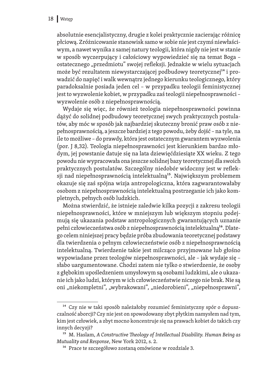absolutnie esencjalistyczny, drugie z kolei praktycznie zacierając różnicę płciową. Zróżnicowanie stanowisk samo w sobie nie jest czymś niewłaściwym, a nawet wynika z samej natury teologii, która nigdy nie jest w stanie w sposób wyczerpujący i całościowy wypowiedzieć się na temat Boga – ostatecznego "przedmiotu" swojej refleksji. Jednakże w wielu sytuacjach może być rezultatem niewystarczającej podbudowy teoretycznej<sup>14</sup> i prowadzić do napięć i walk wewnątrz jednego kierunku teologicznego, który paradoksalnie posiada jeden cel – w przypadku teologii feministycznej jest to wyzwolenie kobiet, w przypadku zaś teologii niepełnosprawności – wyzwolenie osób z niepełnosprawnością.

Wydaje się więc, że również teologia niepełnosprawności powinna dążyć do solidnej podbudowy teoretycznej swych praktycznych postulatów, aby móc w sposób jak najbardziej skuteczny bronić praw osób z nie‑ pełnosprawnością, a jeszcze bardziej z tego powodu, żeby dojść – na tyle, na ile to możliwe – do prawdy, która jest ostatecznym gwarantem wyzwolenia (por. J 8,32). Teologia niepełnosprawności jest kierunkiem bardzo mło‑ dym, jej powstanie datuje się na lata dziewięćdziesiąte XX wieku. Z tego powodu nie wypracowała ona jeszcze solidnej bazy teoretycznej dla swoich praktycznych postulatów. Szczególny niedobór widoczny jest w refleksji nad niepełnosprawnością intelektualną<sup>15</sup>. Największym problemem okazuje się zaś spójna wizja antropologiczna, która zagwarantowałaby osobom z niepełnosprawnością intelektualną postrzeganie ich jako kompletnych, pełnych osób ludzkich.

Można stwierdzić, że istnieje zaledwie kilka pozycji z zakresu teologii niepełnosprawności, które w mniejszym lub większym stopniu podejmują się ukazania podstaw antropologicznych gwarantujących uznanie pełni człowieczeństwa osób z niepełnosprawnością intelektualną<sup>16</sup>. Dlatego celem niniejszej pracy będzie próba zbudowania teoretycznej podstawy dla twierdzenia o pełnym człowieczeństwie osób z niepełnosprawnością intelektualną. Twierdzenie takie jest milcząco przyjmowane lub głośno wypowiadane przez teologów niepełnosprawności, ale – jak wydaje się – słabo uargumentowane. Chodzi zatem nie tylko o stwierdzenie, że osoby z głębokim upośledzeniem umysłowym są osobami ludzkimi, ale o ukazanie ich jako ludzi, którym w ich człowieczeństwie niczego nie brak. Nie są oni "niekompletni", "wybrakowani", "niedorobieni", "niepełnosprawni",

<sup>&</sup>lt;sup>14</sup> Czy nie w taki sposób należałoby rozumieć feministyczny spór o dopuszczalność aborcji? Czy nie jest on spowodowany zbyt płytkim namysłem nad tym, kim jest człowiek, a zbyt mocno koncentruje się na prawach kobiet do takich czy innych decyzji?

<sup>15</sup> M. Haslam, *A Constructive Theology of Intellectual Disability. Human Being as Mutuality and Response*, New York 2012, s. 2.

<sup>16</sup> Prace te szczegółowo zostaną omówione w rozdziale 3.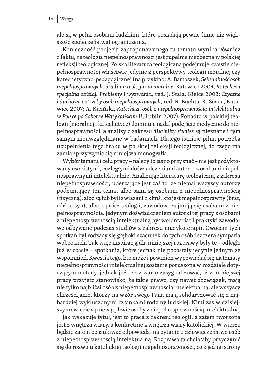ale są w pełni osobami ludzkimi, które posiadają pewne (inne niż większość społeczeństwa) ograniczenia.

Konieczność podjęcia zaproponowanego tu tematu wynika również z faktu, że teologia niepełnosprawności jest zupełnie nieobecna w polskiej refleksji teologicznej. Polska literatura teologiczna podejmuje kwestie nie‑ pełnosprawności właściwie jedynie z perspektywy teologii moralnej czy katechetyczno-pedagogicznej (na przykład: A. Bartoszek, *Seksualność osób niepełnosprawnych*. *Studium teologicznomoralne*, Katowice 2009; *Katecheza specjalna dzisiaj. Problemy i wyzwania*, red. J. Stala, Kielce 2003; *Etyczne i duchowe potrzeby osób niepełnosprawnych*, red. R. Buchta, K. Sosna, Katowice 2007; A. Kiciński, *Katecheza osób z niepełnosprawnością intelektualną w Polsce po Soborze Watykańskim II*, Lublin 2007). Ponadto w polskiej teo‑ logii (moralnej i katechetyce) dominuje nadal podejście medyczne do nie‑ pełnosprawności, a analizy z zakresu *disability studies* są nieznane i tym samym nieuwzględniane w badaniach. Dlatego istnieje pilna potrzeba uzupełnienia tego braku w polskiej refleksji teologicznej, do czego ma zamiar przyczynić się niniejsza monografia.

Wybór tematu i celu pracy – należy to jasno przyznać – nie jest podyktowany osobistymi, rozległymi doświadczeniami autorki z osobami niepeł‑ nosprawnymi intelektualnie. Analizując literaturę teologiczną z zakresu niepełnosprawności, uderzające jest zaś to, że niemal wszyscy autorzy podejmujący ten temat albo sami są osobami z niepełnosprawnością (fizyczną), albo są lub byli związani z kimś, kto jest niepełnosprawny (brat, córka, syn), albo, oprócz teologii, zawodowo zajmują się osobami z nie‑ pełnosprawnością. Jedynym doświadczeniem autorki tej pracy z osobami z niepełnosprawnością intelektualną był wolontariat i praktyki zawodowe odbywane podczas studiów z zakresu muzykoterapii. Owocem tych spotkań był rodzący się głęboki szacunek do tych osób i szczera sympatia wobec nich. Tak więc inspiracją dla niniejszej rozprawy były te – odległe już w czasie – spotkania, które jednak nie pozostały jedynie jednym ze wspomnień. Kwestia tego, kto może i powinien wypowiadać się na tematy niepełnosprawności intelektualnej zostanie poruszona w rozdziale dotyczącym metody, jednak już teraz warto zasygnalizować, iż w niniejszej pracy przyjęto stanowisko, że takie prawo, czy nawet obowiązek, mają nie tylko najbliżsi osób z niepełnosprawnością intelektualną, ale wszyscy chrześcijanie, którzy na wzór swego Pana mają solidaryzować się z najbardziej wykluczonymi członkami rodziny ludzkiej. Nimi zaś w dzisiejszym świecie są niewątpliwie osoby z niepełnosprawnością intelektualną.

Jak wskazuje tytuł, jest to praca z zakresu teologii, a zatem tworzona jest z wnętrza wiary, a konkretnie z wnętrza wiary katolickiej. W wierze będzie zatem poszukiwać odpowiedzi na pytanie o człowieczeństwo osób z niepełnosprawnością intelektualną. Rozprawa ta chciałaby przyczynić się do rozwoju katolickiej teologii niepełnosprawności, co z jednej strony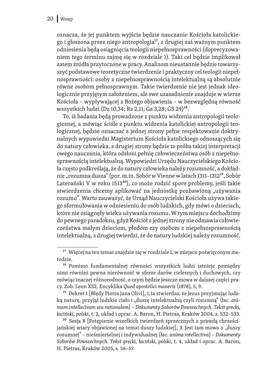oznacza, że jej punktem wyjścia będzie nauczanie Kościoła katolickie‑ go i głoszona przez niego antropologia17, z drugiej zaś ważnym punktem odniesienia będą osiągnięcia teologii niepełnosprawności (doprecyzowa‑ niem tego terminu zajmę się w rozdziale 1). Taki cel będzie implikował zatem źródła przytoczone w pracy. Analizom nieustannie będzie towarzyszyć podstawowe teoretyczne twierdzenie i praktyczny cel teologii niepełnosprawności: osoby z niepełnosprawnością intelektualną są absolutnie równe osobom pełnosprawnym. Takie twierdzenie nie jest jednak ideologicznie przyjętym założeniem, ale swe uzasadnienie znajduje w wierze Kościoła – wypływającej z Bożego objawienia – w bezwzględną równość wszystkich ludzi (Dz 10,34; Rz 2,11; Ga 3,28; GS 29)18.

To, iż badania będą prowadzone z punktu widzenia antropologii teologicznej, a mówiąc ściśle z punktu widzenia katolickiej antropologii teologicznej, będzie oznaczać z jednej strony pełne respektowanie doktrynalnych wypowiedzi Magisterium Kościoła katolickiego odnoszących się do natury człowieka, z drugiej strony będzie to próba takiej interpretacji owego nauczania, która odsłoni pełnię człowieczeństwa osób z niepełno‑ sprawnością intelektualną. Wypowiedzi Urzędu Nauczycielskiego Kościoła często podkreślają, że do natury człowieka należy rozumność, a dokładnie "rozumna dusza" (por. m.in. Sobór w Vienne w latach 1311-1312<sup>19</sup>, Sobór Laterański V w roku 151320), co może rodzić spore problemy, jeśli takie stwierdzenia chcemy aplikować na jednostkę pozbawioną "używania rozumu". Warto zauważyć, że Urząd Nauczycielski Kościoła używa takie‑ go sformułowania w odniesieniu do osób ludzkich, gdy mówi o dzieciach, które nie osiągnęły wieku używania rozumu. W tym miejscu dochodzimy do pewnego paradoksu, gdyż Kościół z jednej strony nie odmawia człowie‑ czeństwa małym dzieciom, płodom czy osobom z niepełnosprawnością intelektualną, z drugiej twierdzi, że do natury ludzkiej należy rozumność.

<sup>19</sup> Dekret 1 [Błędy Piotra Jana Olivi], 1,1a stwierdza, że Jezus przyjmując ludzką naturę, przyjął ludzkie ciało i "duszę intelektualną czyli rozumną" (łac. ani*mam intellecivam seu rationalem*) – *Dokumenty Soborów Powszechnych. Tekst grecki, łaciński, polski*, t. 2, układ i oprac. A. Baron, H. Pietras, Kraków 2004, s. 532–533.

<sup>20</sup> Sesja 8 [Potępienie wszelkich twierdzeń sprzecznych z prawdą chrześcijańskiej wiary objawionej na temat duszy ludzkiej], 3. Jest tam mowa o "duszy rozumnej" – nieśmiertelnej i indywidualnej (łac. *anima intellectiva*) – *Dokumenty Soborów Powszechnych. Tekst grecki, łaciński, polski*, t. 4, układ i oprac. A. Baron, H. Pietras, Kraków 2005, s. 56–57.

<sup>&</sup>lt;sup>17</sup> Więcej na ten temat znajdzie się w rozdziale 1, w miejscu poświęconym metodzie.

<sup>18</sup> Pomimo fundamentalnej równości wszystkich ludzi istnieje pomiędzy nimi również pewna nierówność w sferze darów cielesnych i duchowych, czy mówiąc inaczej różnorodność, o czym będzie jeszcze mowa w dalszej części pra‑ cy. Zob. Leon XIII, Encyklika *Quod apostolici muneris* (1878), 5, 9.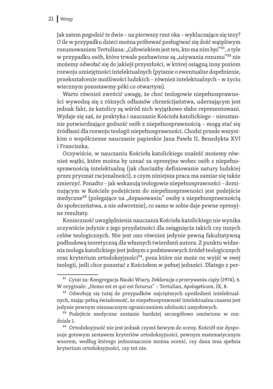Jak zatem pogodzić te dwie – na pierwszy rzut oka – wykluczające się tezy? O ile w przypadku dzieci można próbować posługiwać się dość wątpliwym rozumowaniem Tertuliana: "Człowiekiem jest ten, kto ma nim być"<sup>21</sup>, o tyle w przypadku osób, które trwale pozbawione są "używania rozumu"<sup>22</sup> nie możemy odwołać się do jakiejś przyszłości, w której osiągną inny poziom rozwoju umiejętności intelektualnych (pytanie o ewentualne dopełnienie, przekształcenie możliwości ludzkich – również intelektualnych – w życiu wiecznym pozostawmy póki co otwartym).

Warto również zwrócić uwagę, że choć teologowie niepełnosprawności wywodzą się z różnych odłamów chrześcijaństwa, uderzającym jest jednak fakt, że katolicy są wśród nich wyjątkowo słabo reprezentowani. Wydaje się zaś, że praktyka i nauczanie Kościoła katolickiego - nieustannie potwierdzające godność osób z niepełnosprawnością – mogą stać się źródłami dla rozwoju teologii niepełnosprawności. Chodzi przede wszystkim o współczesne nauczanie papieskie Jana Pawła II, Benedykta XVI i Franciszka.

Oczywiście, w nauczaniu Kościoła katolickiego znaleźć możemy rów‑ nież wątki, które można by uznać za opresyjne wobec osób z niepełnosprawnością intelektualną (jak chociażby definiowanie natury ludzkiej przez pryzmat racjonalności), z czym niniejsza praca ma zamiar się także zmierzyć. Ponadto - jak wskazują teologowie niepełnosprawności - dominującym w Kościele podejściem do niepełnosprawności jest podejście medyczne<sup>23</sup> (polegające na "dopasowaniu" osoby z niepełnosprawnością do społeczeństwa, a nie odwrotnie), co samo w sobie daje pewne opresyjne rezultaty.

Konieczność uwzględnienia nauczania Kościoła katolickiego nie wynika oczywiście jedynie z jego przydatności dla osiągnięcia takich czy innych celów teologicznych. Nie jest ono również jedynie pewną fakultatywną podbudową teoretyczną dla własnych twierdzeń autora. Z punktu widzenia teologa katolickiego jest jednym z podstawowych źródeł teologicznych oraz kryterium ortodoksyjności<sup>24</sup>, poza które nie może on wyjść w swej teologii, jeśli chce pozostać z Kościołem w pełnej jedności. Dlatego z per‑

<sup>21</sup> Cytat za: Kongregacja Nauki Wiary, *Deklaracja o przerywaniu ciąży* (1974), 6. W oryginale: "Homo est et qui est futurus" – Tertulian, *Apologeticum*, IX, 8.

<sup>&</sup>lt;sup>22</sup> Odwołuję się tutaj do przypadków najcięższych upośledzeń intelektualnych, mając pełną świadomość, że niepełnosprawność intelektualna czasem jest jedynie pewnym nieznacznym ograniczeniem zdolności umysłowych.

<sup>&</sup>lt;sup>23</sup> Podejście medyczne zostanie bardziej szczegółowo omówione w rozdziale 1.

<sup>&</sup>lt;sup>24</sup> Ortodoksyjność nie jest jednak czymś łatwym do oceny. Kościół nie dysponuje gotowym zestawem kryteriów ortodoksyjności, pewnym matematycznym wzorem, według którego jednoznacznie można ocenić, czy dana teza spełnia kryterium ortodoksyjności, czy też nie.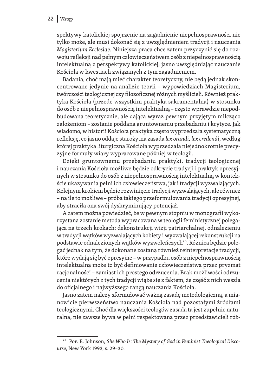spektywy katolickiej spojrzenie na zagadnienie niepełnosprawności nie tylko może, ale musi dokonać się z uwzględnieniem tradycji i nauczania *Magisterium Ecclesiae*. Niniejsza praca chce zatem przyczynić się do roz‑ woju refleksji nad pełnym człowieczeństwem osób z niepełnosprawnością intelektualną z perspektywy katolickiej, jasno uwzględniając nauczanie Kościoła w kwestiach związanych z tym zagadnieniem.

Badania, choć mają mieć charakter teoretyczny, nie będą jednak skoncentrowane jedynie na analizie teorii – wypowiedziach Magisterium, twórczości teologicznej czy filozoficznej różnych myślicieli. Również prak‑ tyka Kościoła (przede wszystkim praktyka sakramentalna) w stosunku do osób z niepełnosprawnością intelektualną – często wprawdzie niepod‑ budowana teoretycznie, ale dająca wyraz pewnym przyjętym milcząco założeniom – zostanie poddana gruntownemu przebadaniu i krytyce. Jak wiadomo, w historii Kościoła praktyka często wyprzedzała systematyczną refleksję, co jasno oddaje starożytna zasada *lex orandi, lex credendi*, według której praktyka liturgiczna Kościoła wyprzedzała niejednokrotnie precy‑ zyjne formuły wiary wypracowane później w teologii.

Dzięki gruntownemu przebadaniu praktyki, tradycji teologicznej i nauczania Kościoła możliwe będzie odkrycie tradycji i praktyk opresyjnych w stosunku do osób z niepełnosprawnością intelektualną w kontekście ukazywania pełni ich człowieczeństwa, jak i tradycji wyzwalających. Kolejnym krokiem będzie rozwinięcie tradycji wyzwalających, ale również – na ile to możliwe – próba takiego przeformułowania tradycji opresyjnej, aby straciła ona swój dyskryminujący potencjał.

A zatem można powiedzieć, że w pewnym stopniu w monografii wykorzystana zostanie metoda wypracowana w teologii feministycznej polegająca na trzech krokach: dekonstrukcji wizji patriarchalnej, odnalezieniu w tradycji wątków wyzwalających kobiety i wyzwalającej rekonstrukcji na podstawie odnalezionych wątków wyzwoleńczych<sup>25</sup>. Różnica będzie polegać jednak na tym, że dokonane zostaną również reinterpretacje tradycji, które wydają się być opresyjne – w przypadku osób z niepełnosprawnością intelektualną może to być definiowanie człowieczeństwa przez pryzmat racjonalności - zamiast ich prostego odrzucenia. Brak możliwości odrzucenia niektórych z tych tradycji wiąże się z faktem, że część z nich weszła do oficjalnego i najwyższego rangą nauczania Kościoła.

Jasno zatem należy sformułować ważną zasadę metodologiczną, a mianowicie pierwszeństwo nauczania Kościoła nad pozostałymi źródłami teologicznymi. Choć dla większości teologów zasada ta jest zupełnie natu‑ ralna, nie zawsze bywa w pełni respektowana przez przedstawicieli róż‑

<sup>25</sup> Por. E. Johnson, *She Who Is: The Mystery of God in Feminist Theological Discourse*, New York 1993, s. 29–30.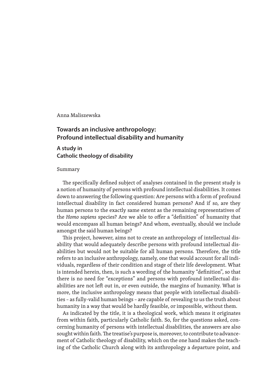Anna Maliszewska

#### **Towards an inclusive anthropology: Profound intellectual disability and humanity**

#### **A study in Catholic theology of disability**

#### Summary

The specifically defined subject of analyses contained in the present study is a notion of humanity of persons with profound intellectual disabilities. It comes down to answering the following question: Are persons with a form of profound intellectual disability in fact considered human persons? And if so, are they human persons to the exactly same extent as the remaining representatives of the *Homo sapiens* species? Are we able to offer a "definition" of humanity that would encompass all human beings? And whom, eventually, should we include amongst the said human beings?

This project, however, aims not to create an anthropology of intellectual disability that would adequately describe persons with profound intellectual disabilities but would not be suitable for all human persons. Therefore, the title refers to an inclusive anthropology, namely, one that would account for all individuals, regardless of their condition and stage of their life development. What is intended herein, then, is such a wording of the humanity "definition", so that there is no need for "exceptions" and persons with profound intellectual dis‑ abilities are not left out in, or even outside, the margins of humanity. What is more, the inclusive anthropology means that people with intellectual disabilities – as fully-valid human beings – are capable of revealing to us the truth about humanity in a way that would be hardly feasible, or impossible, without them.

As indicated by the title, it is a theological work, which means it originates from within faith, particularly Catholic faith. So, for the questions asked, concerning humanity of persons with intellectual disabilities, the answers are also sought within faith. The treatise's purpose is, moreover, to contribute to advancement of Catholic theology of disability, which on the one hand makes the teaching of the Catholic Church along with its anthropology a departure point, and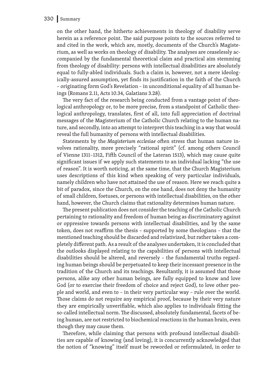#### 330 Summary

on the other hand, the hitherto achievements in theology of disability serve herein as a reference point. The said purpose points to the sources referred to and cited in the work, which are, mostly, documents of the Church's Magisterium, as well as works on theology of disability. The analyses are ceaselessly ac‑ companied by the fundamental theoretical claim and practical aim stemming from theology of disability: persons with intellectual disabilities are absolutely equal to fully-abled individuals. Such a claim is, however, not a mere ideologically-assured assumption, yet finds its justification in the faith of the Church – originating form God's Revelation – in unconditional equality of all human be‑ ings (Romans 2.11, Acts 10.34, Galatians 3.28).

The very fact of the research being conducted from a vantage point of theological anthropology or, to be more precise, from a standpoint of Catholic theological anthropology, translates, first of all, into full appreciation of doctrinal messages of the Magisterium of the Catholic Church relating to the human na‑ ture, and secondly, into an attempt to interpret this teaching in a way that would reveal the full humanity of persons with intellectual disabilities.

Statements by the *Magisterium ecclesiae* often stress that human nature involves rationality, more precisely "rational spirit" (cf. among others Council of Vienne 1311–1312, Fifth Council of the Lateran 1513), which may cause quite significant issues if we apply such statements to an individual lacking "the use of reason". It is worth noticing, at the same time, that the Church Magisterium uses descriptions of this kind when speaking of very particular individuals, namely children who have not attained the use of reason. Here we reach quite a bit of paradox, since the Church, on the one hand, does not deny the humanity of small children, foetuses, or persons with intellectual disabilities, on the other hand, however, the Church claims that rationality determines human nature.

The present publication does not consider the teaching of the Catholic Church pertaining to rationality and freedom of human being as discriminatory against or oppressive towards persons with intellectual disabilities, and by the same token, does not reaffirm the thesis – supported by some theologians – that the mentioned teaching should be discarded and relativized, but rather takes a completely different path. As a result of the analyses undertaken, it is concluded that the outlooks displayed relating to the capabilities of persons with intellectual disabilities should be altered, and reversely - the fundamental truths regarding human beings should be perpetuated to keep their incessant presence in the tradition of the Church and its teachings. Resultantly, it is assumed that those persons, alike any other human beings, are fully equipped to know and love God (or to exercise their freedom of choice and reject God), to love other people and world, and even to – in their very particular way – rule over the world. Those claims do not require any empirical proof, because by their very nature they are empirically unverifiable, which also applies to individuals fitting the so-called intellectual norm. The discussed, absolutely fundamental, facets of being human, are not restricted to biochemical reactions in the human brain, even though they may cause them.

Therefore, while claiming that persons with profound intellectual disabilities are capable of knowing (and loving), it is concurrently acknowledged that the notion of "knowing" itself must be reworded or reformulated, in order to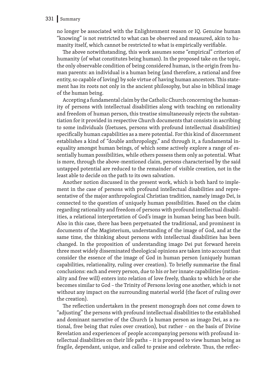#### 331 Summary

no longer be associated with the Enlightenment reason or IQ. Genuine human "knowing" is not restricted to what can be observed and measured, akin to humanity itself, which cannot be restricted to what is empirically verifiable.

The above notwithstanding, this work assumes some "empirical" criterion of humanity (of what constitutes being human). In the proposed take on the topic, the only observable condition of being considered human, is the origin from human parents: an individual is a human being (and therefore, a rational and free entity, so capable of loving) by sole virtue of having human ancestors. This statement has its roots not only in the ancient philosophy, but also in biblical image of the human being.

Accepting a fundamental claim by the Catholic Church concerning the humanity of persons with intellectual disabilities along with teaching on rationality and freedom of human person, this treatise simultaneously rejects the substantiation for it provided in respective Church documents that consists in ascribing to some individuals (foetuses, persons with profound intellectual disabilities) specifically human capabilities as a mere potential. For this kind of discernment establishes a kind of "double anthropology," and through it, a fundamental inequality amongst human beings, of which some actively explore a range of essentially human possibilities, while others possess them only as potential. What is more, through the above-mentioned claim, persons characterised by the said untapped potential are reduced to the remainder of visible creation, not in the least able to decide on the path to its own salvation.

Another notion discussed in the present work, which is both hard to implement in the case of persons with profound intellectual disabilities and representative of the major anthropological Christian tradition, namely imago Dei, is connected to the question of uniquely human possibilities. Based on the claim regarding rationality and freedom of persons with profound intellectual disabilities, a relational interpretation of God's image in human being has been built. Also in this case, there has been perpetuated the traditional, and prominent in documents of the Magisterium, understanding of the image of God, and at the same time, the thinking about persons with intellectual disabilities has been changed. In the proposition of understanding imago Dei put forward herein three most widely disseminated theological opinions are taken into account that consider the essence of the image of God in human person (uniquely human capabilities, relationality, ruling over creation). To briefly summarize the final conclusions: each and every person, due to his or her innate capabilities (rationality and free will) enters into relation of love freely, thanks to which he or she becomes similar to God – the Trinity of Persons loving one another, which is not without any impact on the surrounding material world (the facet of ruling over the creation).

The reflection undertaken in the present monograph does not come down to "adjusting" the persons with profound intellectual disabilities to the established and dominant narrative of the Church (a human person as imago Dei, as a ra‑ tional, free being that rules over creation), but rather – on the basis of Divine Revelation and experiences of people accompanying persons with profound intellectual disabilities on their life paths – it is proposed to view human being as fragile, dependant, unique, and called to praise and celebrate. Thus, the reflec-